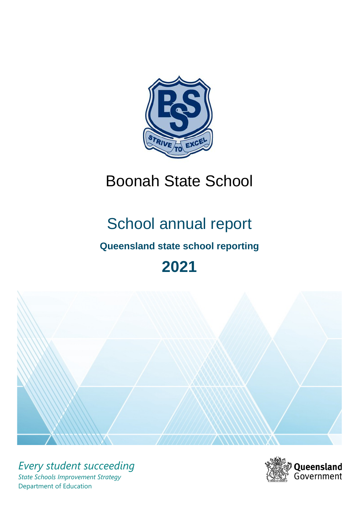

# Boonah State School

# School annual report

# **Queensland state school reporting**

# **2021**



*Every student succeeding State Schools Improvement Strategy* Department of Education

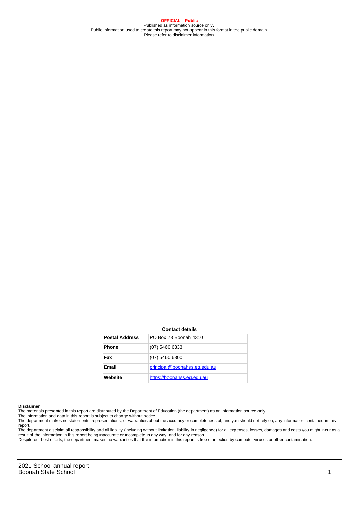**OFFICIAL – Public** Published as information source only. Public information used to create this report may not appear in this format in the public domain Please refer to disclaimer information.

#### **Contact details**

| <b>Postal Address</b> | PO Box 73 Boonah 4310        |
|-----------------------|------------------------------|
| <b>Phone</b>          | (07) 5460 6333               |
| Fax                   | $(07)$ 5460 6300             |
| Email                 | principal@boonahss.eq.edu.au |
| Website               | https://boonahss.eq.edu.au   |

#### **Disclaimer**

The materials presented in this report are distributed by the Department of Education (the department) as an information source only.

The information and data in this report is subject to change without notice.<br>The department makes no statements, representations, or warranties about the accuracy or completeness of, and you should not rely on, any informa report.

The department disclaim all responsibility and all liability (including without limitation, liability in negligence) for all expenses, losses, damages and costs you might incur as a result of the information in this report being inaccurate or incomplete in any way, and for any reason. Despite our best efforts, the department makes no warranties that the information in this report is free of infection by computer viruses or other contamination.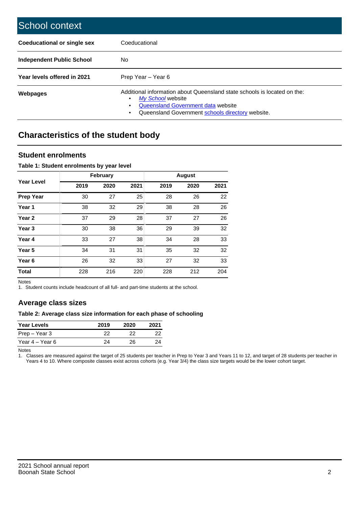| School context                   |                                                                                                                                                                                              |
|----------------------------------|----------------------------------------------------------------------------------------------------------------------------------------------------------------------------------------------|
| Coeducational or single sex      | Coeducational                                                                                                                                                                                |
| <b>Independent Public School</b> | No.                                                                                                                                                                                          |
| Year levels offered in 2021      | Prep Year - Year 6                                                                                                                                                                           |
| Webpages                         | Additional information about Queensland state schools is located on the:<br>My School website<br>Queensland Government data website<br>Queensland Government schools directory website.<br>٠ |

# **Characteristics of the student body**

## **Student enrolments**

### **Table 1: Student enrolments by year level**

|                   |      | <b>February</b> |      |      | <b>August</b> |      |
|-------------------|------|-----------------|------|------|---------------|------|
| <b>Year Level</b> | 2019 | 2020            | 2021 | 2019 | 2020          | 2021 |
| <b>Prep Year</b>  | 30   | 27              | 25   | 28   | 26            | 22   |
| Year 1            | 38   | 32              | 29   | 38   | 28            | 26   |
| Year 2            | 37   | 29              | 28   | 37   | 27            | 26   |
| Year <sub>3</sub> | 30   | 38              | 36   | 29   | 39            | 32   |
| Year 4            | 33   | 27              | 38   | 34   | 28            | 33   |
| Year <sub>5</sub> | 34   | 31              | 31   | 35   | 32            | 32   |
| Year <sub>6</sub> | 26   | 32              | 33   | 27   | 32            | 33   |
| <b>Total</b>      | 228  | 216             | 220  | 228  | 212           | 204  |

Notes

1. Student counts include headcount of all full- and part-time students at the school.

## **Average class sizes**

### **Table 2: Average class size information for each phase of schooling**

| <b>Year Levels</b> | 2019 | 2020 | 2021 |
|--------------------|------|------|------|
| Prep – Year 3      | つつ   | つつ   | フフ   |
| Year 4 – Year 6    | 24   | 26.  | 24   |

Notes

1. Classes are measured against the target of 25 students per teacher in Prep to Year 3 and Years 11 to 12, and target of 28 students per teacher in Years 4 to 10. Where composite classes exist across cohorts (e.g. Year 3/4) the class size targets would be the lower cohort target.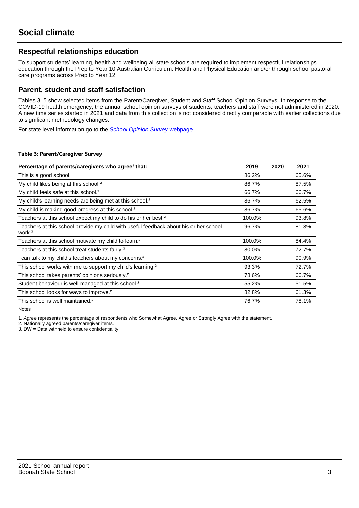## **Respectful relationships education**

To support students' learning, health and wellbeing all state schools are required to implement respectful relationships education through the Prep to Year 10 Australian Curriculum: Health and Physical Education and/or through school pastoral care programs across Prep to Year 12.

## **Parent, student and staff satisfaction**

Tables 3–5 show selected items from the Parent/Caregiver, Student and Staff School Opinion Surveys. In response to the COVID-19 health emergency, the annual school opinion surveys of students, teachers and staff were not administered in 2020. A new time series started in 2021 and data from this collection is not considered directly comparable with earlier collections due to significant methodology changes.

For state level information go to the **[School Opinion Survey](https://qed.qld.gov.au/publications/reports/statistics/schooling/schools/schoolopinionsurvey) webpage**.

#### **Table 3: Parent/Caregiver Survey**

| Percentage of parents/caregivers who agree <sup>1</sup> that:                                               | 2019   | 2020 | 2021  |
|-------------------------------------------------------------------------------------------------------------|--------|------|-------|
| This is a good school.                                                                                      | 86.2%  |      | 65.6% |
| My child likes being at this school. <sup>2</sup>                                                           | 86.7%  |      | 87.5% |
| My child feels safe at this school. <sup>2</sup>                                                            | 66.7%  |      | 66.7% |
| My child's learning needs are being met at this school. <sup>2</sup>                                        | 86.7%  |      | 62.5% |
| My child is making good progress at this school. <sup>2</sup>                                               | 86.7%  |      | 65.6% |
| Teachers at this school expect my child to do his or her best. <sup>2</sup>                                 | 100.0% |      | 93.8% |
| Teachers at this school provide my child with useful feedback about his or her school<br>work. <sup>2</sup> | 96.7%  |      | 81.3% |
| Teachers at this school motivate my child to learn. <sup>2</sup>                                            | 100.0% |      | 84.4% |
| Teachers at this school treat students fairly. <sup>2</sup>                                                 | 80.0%  |      | 72.7% |
| can talk to my child's teachers about my concerns. <sup>2</sup>                                             | 100.0% |      | 90.9% |
| This school works with me to support my child's learning. <sup>2</sup>                                      | 93.3%  |      | 72.7% |
| This school takes parents' opinions seriously. <sup>2</sup>                                                 | 78.6%  |      | 66.7% |
| Student behaviour is well managed at this school. <sup>2</sup>                                              | 55.2%  |      | 51.5% |
| This school looks for ways to improve. <sup>2</sup>                                                         | 82.8%  |      | 61.3% |
| This school is well maintained. <sup>2</sup>                                                                | 76.7%  |      | 78.1% |

Notes

1. Agree represents the percentage of respondents who Somewhat Agree, Agree or Strongly Agree with the statement.

2. Nationally agreed parents/caregiver items.

3. DW = Data withheld to ensure confidentiality.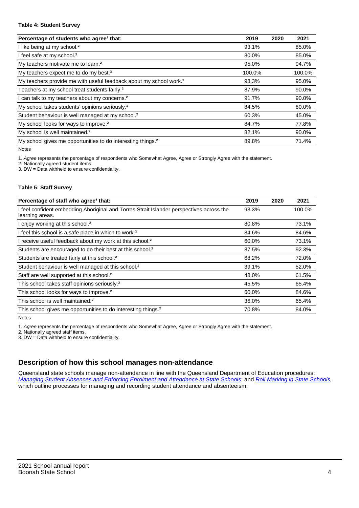#### **Table 4: Student Survey**

| Percentage of students who agree <sup>1</sup> that:                            | 2019   | 2020 | 2021   |
|--------------------------------------------------------------------------------|--------|------|--------|
| I like being at my school. <sup>2</sup>                                        | 93.1%  |      | 85.0%  |
| I feel safe at my school. <sup>2</sup>                                         | 80.0%  |      | 85.0%  |
| My teachers motivate me to learn. <sup>2</sup>                                 | 95.0%  |      | 94.7%  |
| My teachers expect me to do my best. <sup>2</sup>                              | 100.0% |      | 100.0% |
| My teachers provide me with useful feedback about my school work. <sup>2</sup> | 98.3%  |      | 95.0%  |
| Teachers at my school treat students fairly. <sup>2</sup>                      | 87.9%  |      | 90.0%  |
| I can talk to my teachers about my concerns. <sup>2</sup>                      | 91.7%  |      | 90.0%  |
| My school takes students' opinions seriously. <sup>2</sup>                     | 84.5%  |      | 80.0%  |
| Student behaviour is well managed at my school. <sup>2</sup>                   | 60.3%  |      | 45.0%  |
| My school looks for ways to improve. <sup>2</sup>                              | 84.7%  |      | 77.8%  |
| My school is well maintained. <sup>2</sup>                                     | 82.1%  |      | 90.0%  |
| My school gives me opportunities to do interesting things. <sup>2</sup>        | 89.8%  |      | 71.4%  |

Notes

1. Agree represents the percentage of respondents who Somewhat Agree, Agree or Strongly Agree with the statement.

2. Nationally agreed student items.

3. DW = Data withheld to ensure confidentiality.

#### **Table 5: Staff Survey**

| Percentage of staff who agree <sup>1</sup> that:                                                            | 2019  | 2020 | 2021   |
|-------------------------------------------------------------------------------------------------------------|-------|------|--------|
| I feel confident embedding Aboriginal and Torres Strait Islander perspectives across the<br>learning areas. | 93.3% |      | 100.0% |
| I enjoy working at this school. <sup>2</sup>                                                                | 80.8% |      | 73.1%  |
| I feel this school is a safe place in which to work. <sup>2</sup>                                           | 84.6% |      | 84.6%  |
| I receive useful feedback about my work at this school. <sup>2</sup>                                        | 60.0% |      | 73.1%  |
| Students are encouraged to do their best at this school. <sup>2</sup>                                       | 87.5% |      | 92.3%  |
| Students are treated fairly at this school. <sup>2</sup>                                                    | 68.2% |      | 72.0%  |
| Student behaviour is well managed at this school. <sup>2</sup>                                              | 39.1% |      | 52.0%  |
| Staff are well supported at this school. <sup>2</sup>                                                       | 48.0% |      | 61.5%  |
| This school takes staff opinions seriously. <sup>2</sup>                                                    | 45.5% |      | 65.4%  |
| This school looks for ways to improve. <sup>2</sup>                                                         | 60.0% |      | 84.6%  |
| This school is well maintained. <sup>2</sup>                                                                | 36.0% |      | 65.4%  |
| This school gives me opportunities to do interesting things. <sup>2</sup>                                   | 70.8% |      | 84.0%  |

Notes

1. Agree represents the percentage of respondents who Somewhat Agree, Agree or Strongly Agree with the statement.

2. Nationally agreed staff items.

3. DW = Data withheld to ensure confidentiality.

## **Description of how this school manages non-attendance**

Queensland state schools manage non-attendance in line with the Queensland Department of Education procedures: [Managing Student Absences and Enforcing Enrolment and Attendance at State Schools](https://ppr.qed.qld.gov.au/pp/managing-student-absences-and-enforcing-enrolment-and-attendance-at-state-schools-procedure); and [Roll Marking in State Schools,](https://ppr.qed.qld.gov.au/pp/roll-marking-in-state-schools-procedure) which outline processes for managing and recording student attendance and absenteeism.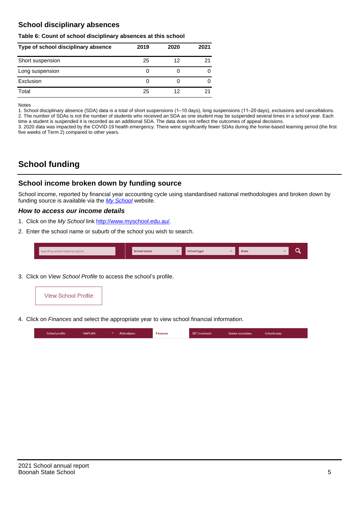## **School disciplinary absences**

#### **Table 6: Count of school disciplinary absences at this school**

| Type of school disciplinary absence | 2019 | 2020 | 2021 |
|-------------------------------------|------|------|------|
| Short suspension                    | 25   | 12   | 21   |
| Long suspension                     | 0    |      |      |
| Exclusion                           | 0    |      | 0    |
| Total                               | 25   | 12   |      |

Notes

1. School disciplinary absence (SDA) data is a total of short suspensions (1–10 days), long suspensions (11–20 days), exclusions and cancellations. 2. The number of SDAs is not the number of students who received an SDA as one student may be suspended several times in a school year. Each time a student is suspended it is recorded as an additional SDA. The data does not reflect the outcomes of appeal decisions.

3. 2020 data was impacted by the COVID-19 health emergency. There were significantly fewer SDAs during the home-based learning period (the first five weeks of Term 2) compared to other years.

# **School funding**

## **School income broken down by funding source**

School income, reported by financial year accounting cycle using standardised national methodologies and broken down by funding source is available via the  $My$  School website.

### **How to access our income details**

- 1. Click on the My School link <http://www.myschool.edu.au/>.
- 2. Enter the school name or suburb of the school you wish to search.

|  | Search by school name or suburb |  | <b>School sector</b> |  | $\sim$ and $\sim$ represents the set of $\sim$ | <b>State</b> |  |  |  |
|--|---------------------------------|--|----------------------|--|------------------------------------------------|--------------|--|--|--|
|--|---------------------------------|--|----------------------|--|------------------------------------------------|--------------|--|--|--|

3. Click on View School Profile to access the school's profile.



4. Click on Finances and select the appropriate year to view school financial information.

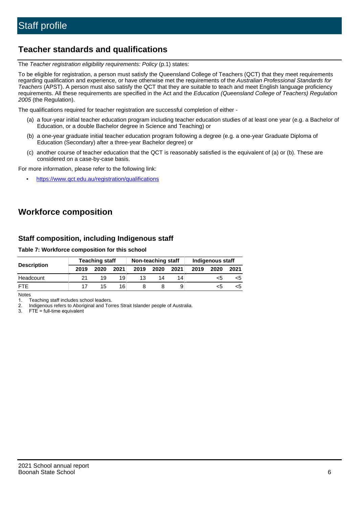## **Teacher standards and qualifications**

The Teacher registration eligibility requirements: Policy (p.1) states:

To be eligible for registration, a person must satisfy the Queensland College of Teachers (QCT) that they meet requirements regarding qualification and experience, or have otherwise met the requirements of the Australian Professional Standards for Teachers (APST). A person must also satisfy the QCT that they are suitable to teach and meet English language proficiency requirements. All these requirements are specified in the Act and the Education (Queensland College of Teachers) Regulation 2005 (the Regulation).

The qualifications required for teacher registration are successful completion of either -

- (a) a four-year initial teacher education program including teacher education studies of at least one year (e.g. a Bachelor of Education, or a double Bachelor degree in Science and Teaching) or
- (b) a one-year graduate initial teacher education program following a degree (e.g. a one-year Graduate Diploma of Education (Secondary) after a three-year Bachelor degree) or
- (c) another course of teacher education that the QCT is reasonably satisfied is the equivalent of (a) or (b). These are considered on a case-by-case basis.

For more information, please refer to the following link:

• <https://www.qct.edu.au/registration/qualifications>

# **Workforce composition**

## **Staff composition, including Indigenous staff**

**Table 7: Workforce composition for this school**

|                    |      | <b>Teaching staff</b> |      |      | Non-teaching staff |      |      | Indigenous staff |      |
|--------------------|------|-----------------------|------|------|--------------------|------|------|------------------|------|
| <b>Description</b> | 2019 | 2020                  | 2021 | 2019 | 2020               | 2021 | 2019 | 2020             | 2021 |
| Headcount          |      | 19                    | 19   | 13   | 14                 | 14   |      |                  |      |
| <b>FTF</b>         | 17   | 15                    | 16   |      |                    | 9    |      |                  |      |

Notes

1. Teaching staff includes school leaders.

2. Indigenous refers to Aboriginal and Torres Strait Islander people of Australia.

3. FTE = full-time equivalent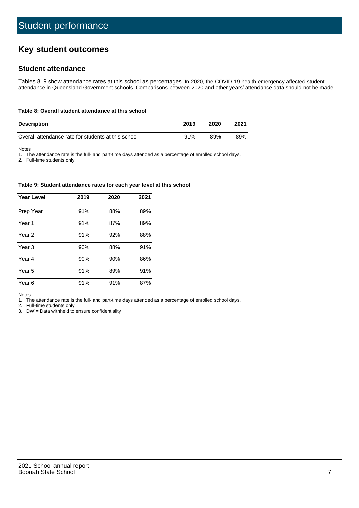# **Key student outcomes**

## **Student attendance**

Tables 8–9 show attendance rates at this school as percentages. In 2020, the COVID-19 health emergency affected student attendance in Queensland Government schools. Comparisons between 2020 and other years' attendance data should not be made.

#### **Table 8: Overall student attendance at this school**

| <b>Description</b>                                  | 2019 | 2020 | 2021 |
|-----------------------------------------------------|------|------|------|
| Overall attendance rate for students at this school | 91%  | 89%  | 89%  |

Notes

1. The attendance rate is the full- and part-time days attended as a percentage of enrolled school days.

2. Full-time students only.

#### **Table 9: Student attendance rates for each year level at this school**

| <b>Year Level</b> | 2019 | 2020 | 2021 |
|-------------------|------|------|------|
| Prep Year         | 91%  | 88%  | 89%  |
| Year <sub>1</sub> | 91%  | 87%  | 89%  |
| Year 2            | 91%  | 92%  | 88%  |
| Year 3            | 90%  | 88%  | 91%  |
| Year 4            | 90%  | 90%  | 86%  |
| Year 5            | 91%  | 89%  | 91%  |
| Year <sub>6</sub> | 91%  | 91%  | 87%  |

Notes

1. The attendance rate is the full- and part-time days attended as a percentage of enrolled school days.

2. Full-time students only.

3. DW = Data withheld to ensure confidentiality